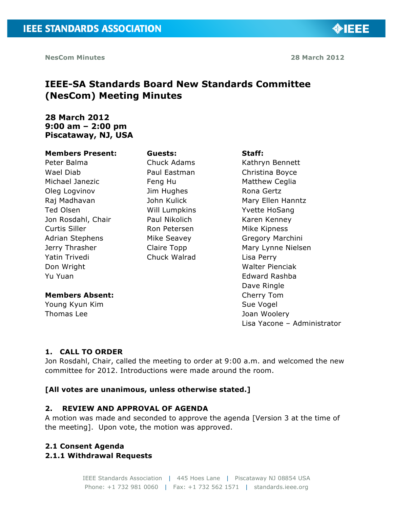◈IEEE

## **IEEE-SA Standards Board New Standards Committee (NesCom) Meeting Minutes**

## **28 March 2012 9:00 am – 2:00 pm Piscataway, NJ, USA**

#### **Members Present:**

Peter Balma Wael Diab Michael Janezic Oleg Logvinov Raj Madhavan Ted Olsen Jon Rosdahl, Chair Curtis Siller Adrian Stephens Jerry Thrasher Yatin Trivedi Don Wright Yu Yuan

#### **Members Absent:**

Young Kyun Kim Thomas Lee

# **Guests:**

Chuck Adams Paul Eastman Feng Hu Jim Hughes John Kulick Will Lumpkins Paul Nikolich Ron Petersen Mike Seavey Claire Topp Chuck Walrad

#### **Staff:**

Kathryn Bennett Christina Boyce Matthew Ceglia Rona Gertz Mary Ellen Hanntz Yvette HoSang Karen Kenney Mike Kipness Gregory Marchini Mary Lynne Nielsen Lisa Perry Walter Pienciak Edward Rashba Dave Ringle Cherry Tom Sue Vogel Joan Woolery Lisa Yacone – Administrator

#### **1. CALL TO ORDER**

Jon Rosdahl, Chair, called the meeting to order at 9:00 a.m. and welcomed the new committee for 2012. Introductions were made around the room.

#### **[All votes are unanimous, unless otherwise stated.]**

#### **2. REVIEW AND APPROVAL OF AGENDA**

A motion was made and seconded to approve the agenda [Version 3 at the time of the meeting]. Upon vote, the motion was approved.

#### **2.1 Consent Agenda**

#### **2.1.1 Withdrawal Requests**

IEEE Standards Association | 445 Hoes Lane | Piscataway NJ 08854 USA Phone: +1 732 981 0060 | Fax: +1 732 562 1571 | standards.ieee.org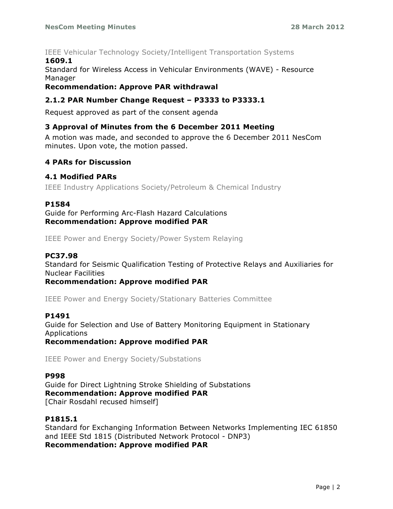#### IEEE Vehicular Technology Society/Intelligent Transportation Systems **1609.1**

Standard for Wireless Access in Vehicular Environments (WAVE) - Resource Manager

### **Recommendation: Approve PAR withdrawal**

## **2.1.2 PAR Number Change Request – P3333 to P3333.1**

Request approved as part of the consent agenda

#### **3 Approval of Minutes from the 6 December 2011 Meeting**

A motion was made, and seconded to approve the 6 December 2011 NesCom minutes. Upon vote, the motion passed.

### **4 PARs for Discussion**

### **4.1 Modified PARs**

IEEE Industry Applications Society/Petroleum & Chemical Industry

#### **P1584**

Guide for Performing Arc-Flash Hazard Calculations **Recommendation: Approve modified PAR**

IEEE Power and Energy Society/Power System Relaying

#### **PC37.98**

Standard for Seismic Qualification Testing of Protective Relays and Auxiliaries for Nuclear Facilities

**Recommendation: Approve modified PAR**

IEEE Power and Energy Society/Stationary Batteries Committee

#### **P1491**

Guide for Selection and Use of Battery Monitoring Equipment in Stationary Applications **Recommendation: Approve modified PAR**

IEEE Power and Energy Society/Substations

#### **P998**

Guide for Direct Lightning Stroke Shielding of Substations **Recommendation: Approve modified PAR** [Chair Rosdahl recused himself]

#### **P1815.1**

Standard for Exchanging Information Between Networks Implementing IEC 61850 and IEEE Std 1815 (Distributed Network Protocol - DNP3) **Recommendation: Approve modified PAR**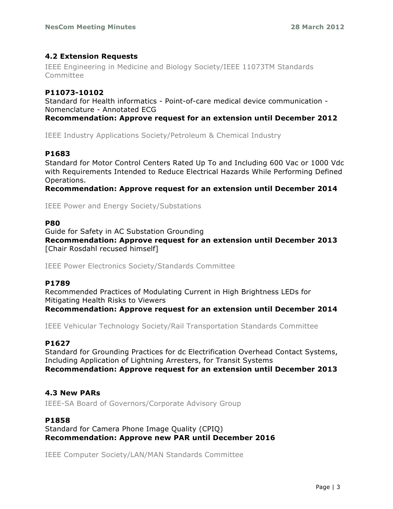## **4.2 Extension Requests**

IEEE Engineering in Medicine and Biology Society/IEEE 11073TM Standards Committee

### **P11073-10102**

Standard for Health informatics - Point-of-care medical device communication - Nomenclature - Annotated ECG

**Recommendation: Approve request for an extension until December 2012**

IEEE Industry Applications Society/Petroleum & Chemical Industry

### **P1683**

Standard for Motor Control Centers Rated Up To and Including 600 Vac or 1000 Vdc with Requirements Intended to Reduce Electrical Hazards While Performing Defined Operations.

**Recommendation: Approve request for an extension until December 2014**

IEEE Power and Energy Society/Substations

#### **P80**

Guide for Safety in AC Substation Grounding **Recommendation: Approve request for an extension until December 2013** [Chair Rosdahl recused himself]

IEEE Power Electronics Society/Standards Committee

#### **P1789**

Recommended Practices of Modulating Current in High Brightness LEDs for Mitigating Health Risks to Viewers **Recommendation: Approve request for an extension until December 2014**

IEEE Vehicular Technology Society/Rail Transportation Standards Committee

#### **P1627**

Standard for Grounding Practices for dc Electrification Overhead Contact Systems, Including Application of Lightning Arresters, for Transit Systems **Recommendation: Approve request for an extension until December 2013**

#### **4.3 New PARs**

IEEE-SA Board of Governors/Corporate Advisory Group

#### **P1858**

Standard for Camera Phone Image Quality (CPIQ) **Recommendation: Approve new PAR until December 2016**

IEEE Computer Society/LAN/MAN Standards Committee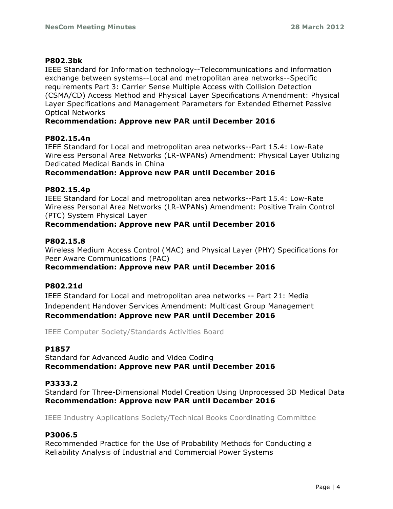#### **P802.3bk**

IEEE Standard for Information technology--Telecommunications and information exchange between systems--Local and metropolitan area networks--Specific requirements Part 3: Carrier Sense Multiple Access with Collision Detection (CSMA/CD) Access Method and Physical Layer Specifications Amendment: Physical Layer Specifications and Management Parameters for Extended Ethernet Passive Optical Networks

#### **Recommendation: Approve new PAR until December 2016**

#### **P802.15.4n**

IEEE Standard for Local and metropolitan area networks--Part 15.4: Low-Rate Wireless Personal Area Networks (LR-WPANs) Amendment: Physical Layer Utilizing Dedicated Medical Bands in China

#### **Recommendation: Approve new PAR until December 2016**

#### **P802.15.4p**

IEEE Standard for Local and metropolitan area networks--Part 15.4: Low-Rate Wireless Personal Area Networks (LR-WPANs) Amendment: Positive Train Control (PTC) System Physical Layer

### **Recommendation: Approve new PAR until December 2016**

#### **P802.15.8**

Wireless Medium Access Control (MAC) and Physical Layer (PHY) Specifications for Peer Aware Communications (PAC) **Recommendation: Approve new PAR until December 2016**

#### **P802.21d**

IEEE Standard for Local and metropolitan area networks -- Part 21: Media Independent Handover Services Amendment: Multicast Group Management **Recommendation: Approve new PAR until December 2016**

IEEE Computer Society/Standards Activities Board

#### **P1857**

Standard for Advanced Audio and Video Coding **Recommendation: Approve new PAR until December 2016**

#### **P3333.2**

Standard for Three-Dimensional Model Creation Using Unprocessed 3D Medical Data **Recommendation: Approve new PAR until December 2016**

IEEE Industry Applications Society/Technical Books Coordinating Committee

#### **P3006.5**

Recommended Practice for the Use of Probability Methods for Conducting a Reliability Analysis of Industrial and Commercial Power Systems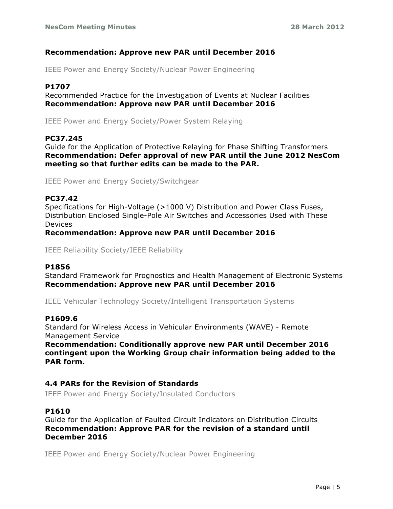#### **Recommendation: Approve new PAR until December 2016**

IEEE Power and Energy Society/Nuclear Power Engineering

#### **P1707**

Recommended Practice for the Investigation of Events at Nuclear Facilities **Recommendation: Approve new PAR until December 2016**

IEEE Power and Energy Society/Power System Relaying

#### **PC37.245**

Guide for the Application of Protective Relaying for Phase Shifting Transformers **Recommendation: Defer approval of new PAR until the June 2012 NesCom meeting so that further edits can be made to the PAR.**

IEEE Power and Energy Society/Switchgear

#### **PC37.42**

Specifications for High-Voltage (>1000 V) Distribution and Power Class Fuses, Distribution Enclosed Single-Pole Air Switches and Accessories Used with These Devices

**Recommendation: Approve new PAR until December 2016**

IEEE Reliability Society/IEEE Reliability

#### **P1856**

Standard Framework for Prognostics and Health Management of Electronic Systems **Recommendation: Approve new PAR until December 2016**

IEEE Vehicular Technology Society/Intelligent Transportation Systems

#### **P1609.6**

Standard for Wireless Access in Vehicular Environments (WAVE) - Remote Management Service

**Recommendation: Conditionally approve new PAR until December 2016 contingent upon the Working Group chair information being added to the PAR form.**

#### **4.4 PARs for the Revision of Standards**

IEEE Power and Energy Society/Insulated Conductors

#### **P1610**

Guide for the Application of Faulted Circuit Indicators on Distribution Circuits **Recommendation: Approve PAR for the revision of a standard until December 2016**

IEEE Power and Energy Society/Nuclear Power Engineering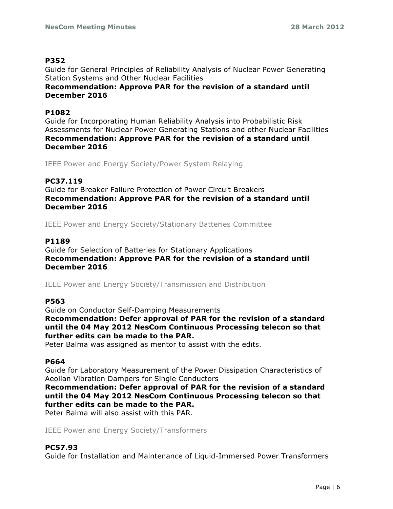#### **P352**

Guide for General Principles of Reliability Analysis of Nuclear Power Generating Station Systems and Other Nuclear Facilities

**Recommendation: Approve PAR for the revision of a standard until December 2016**

#### **P1082**

Guide for Incorporating Human Reliability Analysis into Probabilistic Risk Assessments for Nuclear Power Generating Stations and other Nuclear Facilities **Recommendation: Approve PAR for the revision of a standard until December 2016**

IEEE Power and Energy Society/Power System Relaying

### **PC37.119**

Guide for Breaker Failure Protection of Power Circuit Breakers **Recommendation: Approve PAR for the revision of a standard until December 2016**

IEEE Power and Energy Society/Stationary Batteries Committee

#### **P1189**

Guide for Selection of Batteries for Stationary Applications **Recommendation: Approve PAR for the revision of a standard until December 2016**

IEEE Power and Energy Society/Transmission and Distribution

#### **P563**

Guide on Conductor Self-Damping Measurements **Recommendation: Defer approval of PAR for the revision of a standard until the 04 May 2012 NesCom Continuous Processing telecon so that further edits can be made to the PAR.**

Peter Balma was assigned as mentor to assist with the edits.

#### **P664**

Guide for Laboratory Measurement of the Power Dissipation Characteristics of Aeolian Vibration Dampers for Single Conductors

**Recommendation: Defer approval of PAR for the revision of a standard until the 04 May 2012 NesCom Continuous Processing telecon so that further edits can be made to the PAR.**

Peter Balma will also assist with this PAR.

IEEE Power and Energy Society/Transformers

#### **PC57.93**

Guide for Installation and Maintenance of Liquid-Immersed Power Transformers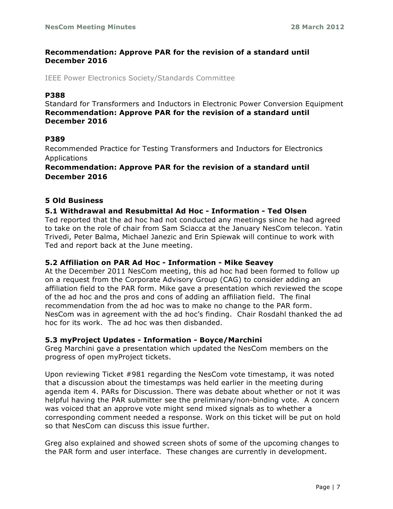#### **Recommendation: Approve PAR for the revision of a standard until December 2016**

IEEE Power Electronics Society/Standards Committee

#### **P388**

Standard for Transformers and Inductors in Electronic Power Conversion Equipment **Recommendation: Approve PAR for the revision of a standard until December 2016**

#### **P389**

Recommended Practice for Testing Transformers and Inductors for Electronics Applications

#### **Recommendation: Approve PAR for the revision of a standard until December 2016**

#### **5 Old Business**

#### **5.1 Withdrawal and Resubmittal Ad Hoc - Information - Ted Olsen**

Ted reported that the ad hoc had not conducted any meetings since he had agreed to take on the role of chair from Sam Sciacca at the January NesCom telecon. Yatin Trivedi, Peter Balma, Michael Janezic and Erin Spiewak will continue to work with Ted and report back at the June meeting.

#### **5.2 Affiliation on PAR Ad Hoc - Information - Mike Seavey**

At the December 2011 NesCom meeting, this ad hoc had been formed to follow up on a request from the Corporate Advisory Group (CAG) to consider adding an affiliation field to the PAR form. Mike gave a presentation which reviewed the scope of the ad hoc and the pros and cons of adding an affiliation field. The final recommendation from the ad hoc was to make no change to the PAR form. NesCom was in agreement with the ad hoc's finding. Chair Rosdahl thanked the ad hoc for its work. The ad hoc was then disbanded.

#### **5.3 myProject Updates - Information - Boyce/Marchini**

Greg Marchini gave a presentation which updated the NesCom members on the progress of open myProject tickets.

Upon reviewing Ticket #981 regarding the NesCom vote timestamp, it was noted that a discussion about the timestamps was held earlier in the meeting during agenda item 4. PARs for Discussion. There was debate about whether or not it was helpful having the PAR submitter see the preliminary/non-binding vote. A concern was voiced that an approve vote might send mixed signals as to whether a corresponding comment needed a response. Work on this ticket will be put on hold so that NesCom can discuss this issue further.

Greg also explained and showed screen shots of some of the upcoming changes to the PAR form and user interface. These changes are currently in development.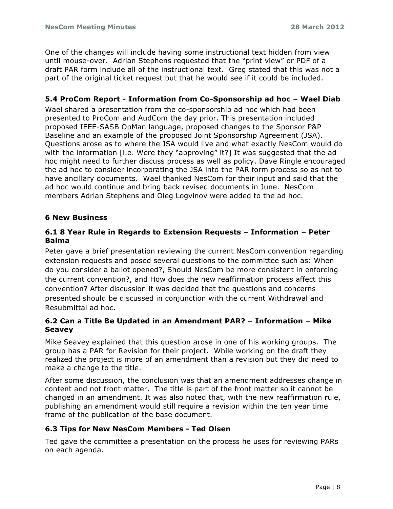One of the changes will include having some instructional text hidden from view until mouse-over. Adrian Stephens requested that the "print view" or PDF of a draft PAR form include all of the instructional text. Greg stated that this was not a part of the original ticket request but that he would see if it could be included.

## **5.4 ProCom Report - Information from Co-Sponsorship ad hoc – Wael Diab**

Wael shared a presentation from the co-sponsorship ad hoc which had been presented to ProCom and AudCom the day prior. This presentation included proposed IEEE-SASB OpMan language, proposed changes to the Sponsor P&P Baseline and an example of the proposed Joint Sponsorship Agreement (JSA). Questions arose as to where the JSA would live and what exactly NesCom would do with the information [i.e. Were they "approving" it?] It was suggested that the ad hoc might need to further discuss process as well as policy. Dave Ringle encouraged the ad hoc to consider incorporating the JSA into the PAR form process so as not to have ancillary documents. Wael thanked NesCom for their input and said that the ad hoc would continue and bring back revised documents in June. NesCom members Adrian Stephens and Oleg Logvinov were added to the ad hoc.

#### **6 New Business**

### **6.1 8 Year Rule in Regards to Extension Requests – Information – Peter Balma**

Peter gave a brief presentation reviewing the current NesCom convention regarding extension requests and posed several questions to the committee such as: When do you consider a ballot opened?, Should NesCom be more consistent in enforcing the current convention?, and How does the new reaffirmation process affect this convention? After discussion it was decided that the questions and concerns presented should be discussed in conjunction with the current Withdrawal and Resubmittal ad hoc.

### **6.2 Can a Title Be Updated in an Amendment PAR? – Information – Mike Seavey**

Mike Seavey explained that this question arose in one of his working groups. The group has a PAR for Revision for their project. While working on the draft they realized the project is more of an amendment than a revision but they did need to make a change to the title.

After some discussion, the conclusion was that an amendment addresses change in content and not front matter. The title is part of the front matter so it cannot be changed in an amendment. It was also noted that, with the new reaffirmation rule, publishing an amendment would still require a revision within the ten year time frame of the publication of the base document.

#### **6.3 Tips for New NesCom Members - Ted Olsen**

Ted gave the committee a presentation on the process he uses for reviewing PARs on each agenda.